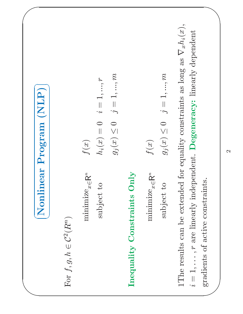| Nonlinear                                                                                                                | (NLP)<br>Program                                                                                                                                                        |
|--------------------------------------------------------------------------------------------------------------------------|-------------------------------------------------------------------------------------------------------------------------------------------------------------------------|
| For $f,g,h\in\mathcal{C}^2(R^n)$                                                                                         |                                                                                                                                                                         |
| $\label{eq:minimize} \begin{aligned} & \text{minimize} \; \mathbf{z} \! \in \! \mathsf{R}^n \end{aligned}$<br>subject to | $j=1,,m$<br>$i=1,,r$<br>$g_j(x)\leq 0$<br>$h_i(x)=0$<br>f(x)                                                                                                            |
| Only<br>Constraints<br>Inequality                                                                                        |                                                                                                                                                                         |
| $\label{eq:minimize} \begin{aligned} & \text{minimize} \; \mathbf{R}^n \end{aligned}$<br>subject to                      | $g_j(x) \leq 0 \quad j = 1, , m$<br>f(x)                                                                                                                                |
| gradients of active constraints.<br>$\dot{\delta}$                                                                       | 1<br>The results can be extended for equality constraints as long as<br>$\nabla_x h_i(x),$<br>$= 1, \ldots, r$ are linearly independent. Degeneracy: linearly dependent |
|                                                                                                                          | $\mathbf{\Omega}$                                                                                                                                                       |
|                                                                                                                          |                                                                                                                                                                         |
|                                                                                                                          |                                                                                                                                                                         |
|                                                                                                                          |                                                                                                                                                                         |
|                                                                                                                          |                                                                                                                                                                         |
|                                                                                                                          |                                                                                                                                                                         |
|                                                                                                                          |                                                                                                                                                                         |
|                                                                                                                          |                                                                                                                                                                         |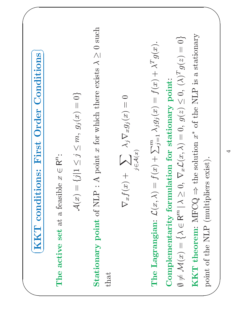| First Order Conditions<br>KKT conditions:                                                                                                                                                                                                                                                                                                          |
|----------------------------------------------------------------------------------------------------------------------------------------------------------------------------------------------------------------------------------------------------------------------------------------------------------------------------------------------------|
| The active set at a feasible $x \in \mathbb{R}^n$ :                                                                                                                                                                                                                                                                                                |
| ${j1 \leq j \leq m, g_j(x) = 0}$<br>$\mathcal{A}(x) =$                                                                                                                                                                                                                                                                                             |
| A point x for which there exists $\lambda \geq 0$ such<br>Stationary point of NLP :<br>that                                                                                                                                                                                                                                                        |
| $\nabla_x f(x) + \sum_{j \in \mathcal{A}(x)} \lambda_j \nabla_x g_j(x) = 0$                                                                                                                                                                                                                                                                        |
| $\nabla_x \mathcal{L}(x,\lambda)=0, \; g(z)\leq 0, \; (\lambda)^T g(z)=0 \}$<br>The Lagrangian: $\mathcal{L}(x,\lambda) = f(x) + \sum_{j=1}^{m} \lambda_j g_j(x) = f(x) + \lambda^T g(x)$ .<br>Complementarity formulation for stationary point:<br>$\sim$<br>$\emptyset \neq \mathcal{M}(x) = \{ \lambda \in \mathsf{R}^m \,   \, \lambda \geq 0$ |
| the solution $x^*$ of the NLP is a stationary<br>point of the NLP (multipliers exist).<br>KKT theorem: $MFCQ \Rightarrow$                                                                                                                                                                                                                          |
| $\overline{\mathcal{A}}$                                                                                                                                                                                                                                                                                                                           |
|                                                                                                                                                                                                                                                                                                                                                    |
|                                                                                                                                                                                                                                                                                                                                                    |
|                                                                                                                                                                                                                                                                                                                                                    |
|                                                                                                                                                                                                                                                                                                                                                    |
|                                                                                                                                                                                                                                                                                                                                                    |
|                                                                                                                                                                                                                                                                                                                                                    |
|                                                                                                                                                                                                                                                                                                                                                    |
|                                                                                                                                                                                                                                                                                                                                                    |
|                                                                                                                                                                                                                                                                                                                                                    |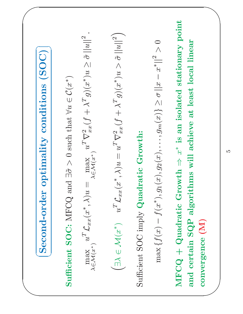Second-

 $\sqrt{2}$ 

**Sufficient SOC:** MFCQ and  $\exists \tilde{\sigma} > 0$  such that  $\forall u \in C(x^*)$ 

 $\begin{array}{ccc} \begin{array}{ccc} \begin{array}{ccc} \end{array} & \begin{array}{ccc} \end{array} & \begin{array}{ccc} \end{array} & \begin{array}{ccc} \end{array} & \begin{array}{ccc} \end{array} & \begin{array}{ccc} \end{array} & \begin{array}{ccc} \end{array} \end{array}$  $\overline{\phantom{a}}$  $\textbf{order } \textbf{optimality } \textbf{conditions} \text{ } (\textbf{SOC})\ \text{FCQ and } \exists \tilde{\sigma} > 0 \text{ such that } \forall u \in \mathcal{C}(x^*)\ \text{if } x^*, \lambda)u = \max_{\lambda \in \mathcal{M}(x^*)} u^T \nabla^2_{xx}(f + \lambda^T g)(x^*)u \geq \tilde{\sigma} \text{.}$  $\begin{split} \textbf{Sufficient SOC: MFCQ and } \exists \widetilde{\sigma} \ \text{max} \quad & u^T \mathcal{L}_{xx}(x^*, \lambda) u = \quad \text{in} \ \lambda \in \mathcal{M}(x^*) \ \left( \exists \lambda \in \mathcal{M}(x^*) \quad u^T \mathcal{L}_{xx}(x^*, \lambda) \right) \end{split}$  $\begin{aligned} &\tilde{\sigma}>0\,\,\text{such that}\,\,\forall u\in C(x^*)\ &\max_{\Xi\mathcal{M}(x^*)}u^T\nabla^2_{xx}(f+\lambda^Tg)(x^*)\ &\lambda)u=u^T\nabla^2_{xx}(f+\lambda^Tg)(x^*) \end{aligned}$  $\lambda \in \mathcal{M}(x^*)$  $u^T \mathcal{L}_{xx}(x^*,\lambda)u = \ \nonumber \ 1(x^*) \qquad u^T \mathcal{L}_{xx}(x^*)$  $\begin{split} \mathcal{L} & \max_{\lambda \in \mathcal{M}(x^*)} u^T \nabla^2_{xx}(f + \lambda^T g)(x^*) u \geq \tilde{\sigma} \left\|u\right\|^2, \ \langle x^*, \lambda \rangle u & = u^T \nabla^2_{xx}(f + \lambda^T g)(x^*) u > \tilde{\sigma} \left\|u\right\|^2, \ \text{Lattice Growth:} \end{split}$ 

 $\mathop{\rm max}\limits_{\mathbb{Z}}\mathbb{X}(\mathbb{Z})\to \mathbb{Z}$  $\smile$  $\exists \lambda \in \mathcal{M}(x^*) \quad u^T \mathcal{L}_{xx}(x^*, \lambda) u = \ \text{ent SOC imply Quadratic Gr}$  $\max \left\{ f(x) - f(x^*), g_1(x), g_2(x) \right\}$  $\begin{split} & w^T \nabla^2_{xx}(f+\lambda^Tg)(x^*)u > \tilde{\sigma} \ & \text{if } \text{rowth:} \ & x),\dots,g_m(x)\} \geq \sigma \left\lVert x-x^* \right\rVert^2. \end{split}$  $\tilde{\sigma} ||u||^2$ <br> $\geq 0$ 

 $\begin{pmatrix} 1 & 0 & 0 & 0 \\ 0 & 0 & 0 & 0 \\ 0 & 0 & 0 & 0 \\ 0 & 0 & 0 & 0 \\ 0 & 0 & 0 & 0 \\ 0 & 0 & 0 & 0 \\ 0 & 0 & 0 & 0 \\ 0 & 0 & 0 & 0 \\ 0 & 0 & 0 & 0 \\ 0 & 0 & 0 & 0 \\ 0 & 0 & 0 & 0 \\ 0 & 0 & 0 & 0 \\ 0 & 0 & 0 & 0 \\ 0 & 0 & 0 & 0 & 0 \\ 0 & 0 & 0 & 0 & 0 \\ 0 & 0 & 0 & 0 & 0 \\ 0 & 0 & 0 & 0 &$  $\overline{\phantom{a}}$  $\bigwedge$  $\begin{array}{l} \mathrm{Sufficient} \ \mathrm{SOC} \ \mathrm{imply} \ \mathbf{Quadratic} \ \mathrm{Growth:} \ \mathrm{max} \left\{ f(x) - f(x^*), g_1(x), g_2(x), \ldots, g \right\} \ \mathrm{MFCQ} + \mathbf{Quadratic} \ \mathrm{Growth} \Rightarrow x^* \ \mathrm{is} \ \mathrm{and} \ \mathrm{cartain} \ \mathrm{SOP} \ \mathrm{aloritthres} \ \mathrm{will} \ \mathrm{zchics} \end{array}$  $\begin{align} \max \left\{ f(x) - \right. \ \mathbf{Q} \end{align}$  and  $\begin{align} \text{and} \ \mathbf{Q} \end{align}$  $f(x^*), g_1(x), g_2(x), \ldots, g_m(x) \ge \sigma ||x -$ <br>Iratic Growth  $\Rightarrow x^*$  is an isolated sta<br>P algorithms will achieve at least loc<br>I)  $\begin{aligned} &-x^*\rVert^2>0\ \text{a} &\text{ifionary}\ 0\ \text{b} &\text{if} &\text{if} &\text{if} &\text{if} &\text{if} &\text{if} &\text{if} &\text{if} &\text{if} &\text{if} &\text{if} &\text{if} &\text{if} &\text{if} &\text{if} &\text{if} &\text{if} &\text{if} &\text{if} &\text{if} &\text{if} &\text{if} &\text{if} &\text{if} &\text{if} &\text{if} &\text{if} &\text{if} &\text{if} &\text{if} &\$ MFCQ + Quadratic Growth  $\Rightarrow x^*$  is an isolated stationary point<br>and certain SQP algorithms will achieve at least local linear<br>convergence (M) convergence (M)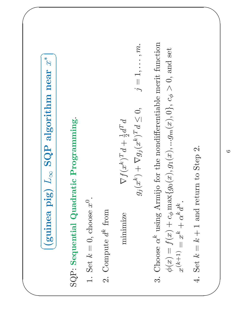$\begin{array}{lll} \hbox{(guinea pig)} & L_\infty \hbox{ SQP algorithm near $\mathit{x}^*$} \ \hbox{1.6cm} & \hbox{1.6cm} \ \hbox{1.6cm} & \hbox{1.6cm} \ \hbox{1.6cm} & \hbox{1.6cm} \ \hbox{1.6cm} & \hbox{1.6cm} \ \hbox{1.6cm} & \hbox{1.6cm} \ \hbox{1.6cm} & \hbox{1.6cm} & \hbox{1.6cm} \ \hbox{2.6cm} & \hbox{2.6cm} & \hbox{2.6cm} \ \hbox{3.6cm} & \hbox{4.6cm} & \$ 

 $\sqrt{2}$ 

## (guinea pi<br>
uential Quad<br>
= 0, choose  $x^0$ .<br>
ute  $d^k$  from<br>
minimize SQP: Sequential Quadratic Programming.

 $\overline{\phantom{a}}$ 

 $\sum_{i=1}^n a_i$ 

- 
- 2. Compute  $d^k$  from

- $\begin{pmatrix} 1 & 1 & 1 \\ 1 & 1 & 1 \\ 1 & 1 & 1 \end{pmatrix}$ 3. Choose  $\alpha^k$  using Armijo for the nondifferentiable merit function minimize<br>  $g_j(x^k)^T d + \frac{1}{2} d^T d$ <br>  $g_j(x^k) + \nabla g_j(x^k)^T d \le$ <br>  $\alpha^k$  using Armijo for the nondifferent<br>  $f(x) + c_\phi \max\{g_0(x), g_1(x), ...g_m(x)\}$  $g_j(x^k) + \nabla g_j(x^k)^T d \leq 0,$   $j =$ <br>
iijo for the nondifferentiable meri $\{g_0(x), g_1(x), ... g_m(x), 0\}, c_{\phi} > 0$  $= 1, \ldots, m.$ <br>  $\begin{aligned} & \text{init function} \ & 0, \text{ and set} \end{aligned}$ 3. Choose  $\alpha^k$  using Armijo for the nondifferentiable merit function  $\phi(x) = f(x) + c_{\phi} \max\{g_0(x), g_1(x), ...g_m(x), 0\}$ ,  $c_{\phi} > 0$ , and set  $x^{(k+1)} = x^k + \alpha^k d^k$ .<br>A Set  $k - k + 1$  and return to Sten 9  $\begin{align} \phi(x) & = \ x^{(k+1)} \ \mathrm{Set} \; k = \ \mathrm{Set} \; k \end{align}$  $f(x) + c_{\phi} \max\{g_0(x), g_1(x), ...g_m(x), c_{\phi} > 0, \text{ and set}\}$ <br>  $= k + 1 \text{ and return to Step 2.}$ <br>  $= k + 1 \text{ and return to Step 2.}$  $x^{(k+1)} =$ <br>Set  $k = 1$  $x^k + \alpha^k d^k$ <br>=  $k + 1$  and re
	- 4. Set  $k =$  $k + 1$  and return to Step 2.<br> $\begin{array}{c} \n\text{Step 2.} \\
	\end{array}$

 $\overline{\phantom{a}}$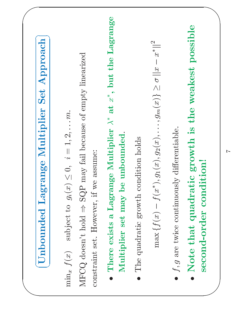| Approach<br>Set<br>Multiplier<br>Lagrange<br>Unbounded                                                                                                                                           |
|--------------------------------------------------------------------------------------------------------------------------------------------------------------------------------------------------|
| may fail because of empty linearized<br>subject to $g_i(x) \leq 0$ , $i = 1, 2, \ldots m$ .<br>constraint set. However, if we assume:<br>SQP<br>MFCQ doesn't hold $\Rightarrow$<br>$\min_x f(x)$ |
| the Lagrange<br>at $x^*$ , but<br>There exists a Lagrange Multiplier $\lambda^*$<br>unbounded.<br>$\mathbf{b}$ e<br>Multiplier set may<br>$\bullet$                                              |
| The quadratic growth condition holds<br>$\bullet$                                                                                                                                                |
| $x^*  ^2$<br>$\max \{f(x) - f(x^*), g_1(x), g_2(x), \ldots, g_m(x)\} \ge \sigma   x -$                                                                                                           |
| $f, g$ are twice continuously differentiable.<br>$\bullet$                                                                                                                                       |
| possible<br>the weakest<br>growth is<br>lition!<br>Note that quadratic<br>cond<br>second-order<br>$\bullet$                                                                                      |
| $\overline{r}$                                                                                                                                                                                   |
|                                                                                                                                                                                                  |
|                                                                                                                                                                                                  |
|                                                                                                                                                                                                  |
|                                                                                                                                                                                                  |
|                                                                                                                                                                                                  |
|                                                                                                                                                                                                  |
|                                                                                                                                                                                                  |
|                                                                                                                                                                                                  |
|                                                                                                                                                                                                  |
|                                                                                                                                                                                                  |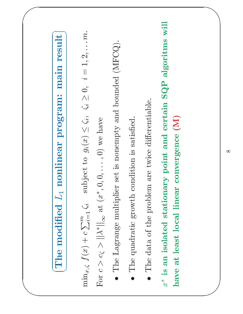| result<br>main<br>program:<br>nonlinear<br>$L_1$<br>modified<br>The                                                                                                                                              |
|------------------------------------------------------------------------------------------------------------------------------------------------------------------------------------------------------------------|
| subject to $g_i(x) \le \zeta_i$ , $\zeta_i \ge 0$ , $i = 1, 2, \ldots m$ .<br>For $c > c_{\zeta} >   \lambda^*  _{\infty}$ at $(x^*, 0, 0, \ldots, 0)$ we have<br>$\min_{x,\zeta} f(x) + c \sum_{i=1}^m \zeta_i$ |
| set is nonempty and bounded (MFCQ).<br>The Lagrange multiplier<br>$\bullet$                                                                                                                                      |
| The quadratic growth condition is satisfied.<br>$\bullet$                                                                                                                                                        |
| The data of the problem are twice differentiable.<br>$\bullet$                                                                                                                                                   |
| point and certain SQP algoritms will<br>convergence (M)<br>$x^*$ is an isolated stationary<br>have at least local linear                                                                                         |
|                                                                                                                                                                                                                  |
| $\infty$                                                                                                                                                                                                         |
|                                                                                                                                                                                                                  |
|                                                                                                                                                                                                                  |
|                                                                                                                                                                                                                  |
|                                                                                                                                                                                                                  |
|                                                                                                                                                                                                                  |
|                                                                                                                                                                                                                  |
|                                                                                                                                                                                                                  |
|                                                                                                                                                                                                                  |
|                                                                                                                                                                                                                  |
|                                                                                                                                                                                                                  |
|                                                                                                                                                                                                                  |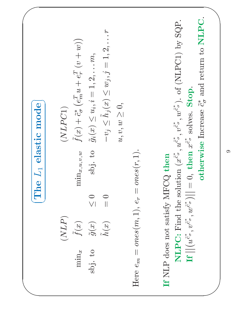| mode<br>elastic<br>$L_{\rm 1}$<br>The | $-v_j \leq \tilde{h}_j(x) \leq w_j, j = 1, 2, \ldots r$<br>$\tilde{f}(x) + \tilde{c}_{\sigma}^{*} (e_{m}^{T}u + e_{r}^{T}(v + w))$<br>$\tilde{g}_i(x) \leq u_i, i = 1, 2, \ldots m,$<br>$u, v, w \geq 0$ ,<br>$(\mathit{NLPC1})$<br>sbj. to<br>$\min_{x, u, v, w}$<br>$\leq 0$<br>$\begin{array}{c} 0 \\ 0 \\ 0 \end{array}$<br>$(\operatorname{NLP})$<br>$\tilde{g}(x)$ $\tilde{h}(x)$<br>$\tilde{f}(x)$<br>sbj. to<br>$\min_x$ | otherwise Increase $\tilde{c}_{\sigma}^*$ and return to NLPC.<br><b>NLPC:</b> Find the solution $(x^{\tilde{c}^*}, u^{\tilde{c}^*}, w^{\tilde{c}^*})$ . of (NLPC1) by SQP.<br><b>If</b> $\left  \left  (u^{\tilde{c}^*}, v^{\tilde{c}^*}, w^{\tilde{c}^*}) \right  \right  = 0$ , then $x^{\tilde{c}^*}$ solves. <b>Stop</b> .<br>ones(r, 1).<br>If NLP does not satisfy MFCQ then<br>Here $e_m = \text{ones}(m, 1), e_r =$ |
|---------------------------------------|----------------------------------------------------------------------------------------------------------------------------------------------------------------------------------------------------------------------------------------------------------------------------------------------------------------------------------------------------------------------------------------------------------------------------------|-----------------------------------------------------------------------------------------------------------------------------------------------------------------------------------------------------------------------------------------------------------------------------------------------------------------------------------------------------------------------------------------------------------------------------|
|                                       |                                                                                                                                                                                                                                                                                                                                                                                                                                  |                                                                                                                                                                                                                                                                                                                                                                                                                             |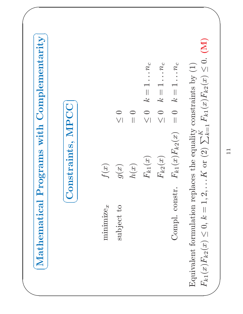| Complementarity<br>with<br>Programs<br>Mathematical                                                                                                                                                                                                                                                                                                                                                                             |
|---------------------------------------------------------------------------------------------------------------------------------------------------------------------------------------------------------------------------------------------------------------------------------------------------------------------------------------------------------------------------------------------------------------------------------|
| MPCC<br>Constraints,                                                                                                                                                                                                                                                                                                                                                                                                            |
| $\ldots n_c$<br>$k=1\ldots n_c$<br>$n_{c}$<br>$\frac{1}{\sqrt{2}}$<br>$\overline{\phantom{0}}$<br>$\frac{1}{2}$<br>$\mathfrak{L}$<br>$\mathfrak{L}$<br>$\bigcirc$<br>$\bigcirc$<br>$\bigcirc$<br>$\bigcirc$<br>$\bigvee$<br>$\bigvee\bigl $<br>$\vee$<br>$\prod$<br>$F_{k1}(x)F_{k2}(x)$<br>$F_{k1}(x)$<br>$F_{k2}(x)$<br>$f(\boldsymbol{x})$<br>g(x)<br>h(x)<br>Compl. constr.<br>$\mathop{\mathrm{minimize}}_x$<br>subject to |
| (M)<br>Equivalent formulation replaces the equality constraints by (1)<br>$F_{k1}(x)F_{k2}(x) \leq 0$ , $k = 1, 2,  K$ or (2) $\sum_{k=1}^{K} F_{k1}(x)F_{k2}(x) \leq 0$ .<br>$\overline{11}$                                                                                                                                                                                                                                   |
|                                                                                                                                                                                                                                                                                                                                                                                                                                 |
|                                                                                                                                                                                                                                                                                                                                                                                                                                 |
|                                                                                                                                                                                                                                                                                                                                                                                                                                 |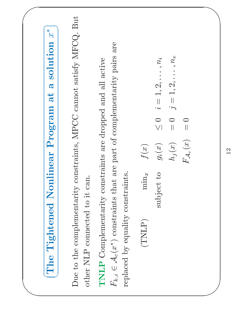| $\mathscr{X}^*$<br>solution<br>$\mathbf{\overline{d}}$<br>$a$ t<br>Program<br>Nonlinear<br>Tightened<br>The                                                                                                                  |
|------------------------------------------------------------------------------------------------------------------------------------------------------------------------------------------------------------------------------|
| constraints, MPCC cannot satisfy MFCQ. But<br>other NLP connected to it can<br>Due to the complementarity                                                                                                                    |
| $F_{k,i} \in \mathcal{A}_c(x^*)$ constraints that are part of complementarity pairs are<br>TNLP Complementarity constraints are dropped and all active<br>replaced by equality constraints.                                  |
| $j=1,2,\ldots,n_e$<br>$i=1,2,\ldots,n_i$<br>$\begin{array}{c} 0 \\ 0 \end{array}$<br>$\begin{array}{c} \n\hline \n\end{array}$<br>$F_{\mathcal{A}_c}(x)$<br>$h_j(x)$<br>f(x)<br>$g_i(x)$<br>subject to<br>$\min_x$<br>(TNLP) |
| 12                                                                                                                                                                                                                           |
|                                                                                                                                                                                                                              |
|                                                                                                                                                                                                                              |
|                                                                                                                                                                                                                              |
|                                                                                                                                                                                                                              |
|                                                                                                                                                                                                                              |
|                                                                                                                                                                                                                              |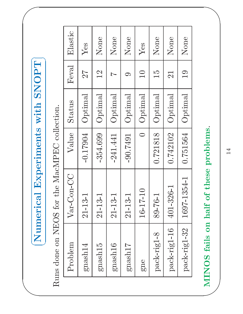$\sqrt{2}$ 

| al Experiments with SNOPT<br>Numeric | Runs done on NEOS for the MacMPEC collection. | Elastic<br>Feval<br>Status<br>Value<br>Var-Con-CC | Yes<br>27<br>Optimal<br>$-0.17904$<br>$21 - 13 - 1$ | None<br>2<br>Optimal<br>$-354.699$<br>$21 - 13 - 1$ | None<br>$\overline{ }$<br>Optimal<br>$-241.441$<br>$21 - 13 - 1$ | None<br>$\bigcirc$<br>Optimal<br>$-90.7491$<br>$21 - 13 - 1$ | Yes<br>$\Box$<br>$\rm Optimal$<br>$\bigcirc$<br>16-17-10 | None<br>$\overline{5}$<br>Optimal<br>0.721818<br>89-76-1 | None<br>21<br>Optimal<br>0.742102<br>401-326-1 | None<br>$\overline{0}$<br>Optimal<br>0.751564<br>1697-1354-1 | of these problems.<br>MINOS fails on half | 14 |  |
|--------------------------------------|-----------------------------------------------|---------------------------------------------------|-----------------------------------------------------|-----------------------------------------------------|------------------------------------------------------------------|--------------------------------------------------------------|----------------------------------------------------------|----------------------------------------------------------|------------------------------------------------|--------------------------------------------------------------|-------------------------------------------|----|--|
|                                      |                                               | Problem                                           | gnash14                                             | gnash15                                             | gnash16                                                          | gnash17                                                      | gne                                                      | pack-rig1-8                                              | pack-rig1-16                                   | pack-rig1-32                                                 |                                           |    |  |
|                                      |                                               |                                                   |                                                     |                                                     |                                                                  |                                                              |                                                          |                                                          |                                                |                                                              |                                           |    |  |

 $\sum$ MINOS fails on half of these problems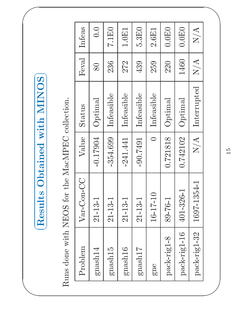$\sqrt{2}$ 

|                     | Runs done with NEOS for the MacMPEC collection. |               |               |       |        |
|---------------------|-------------------------------------------------|---------------|---------------|-------|--------|
| Problem             | Var-Con-CC                                      | Value         | Status        | Feval | Infeas |
| $\mathrm{gnash}14$  | $21 - 13 - 1$                                   | $-0.17904$    | $\rm Optimal$ | 80    | 0.0    |
| gnash <sub>15</sub> | $21 - 13 - 1$                                   | $-354.699$    | Infeasible    | 236   | 7.1E0  |
| gnash16             | $21 - 13 - 1$                                   | $-241.441$    | Infeasible    | 272   | 1.0E1  |
| gnash17             | $21 - 13 - 1$                                   | $-90.7491$    | Infeasible    | 439   | 5.3E0  |
| gne                 | $16 - 17 - 10$                                  | $\bigcirc$    | Infeasible    | 259   | 2.6E1  |
| pack-rig1-8         | 89-76-1                                         | 0.721818      | Optimal       | 220   | 0.0E0  |
| pack-rig1-16        | $401 - 326 - 1$                                 | 0.742102      | $\rm Optimal$ | 1460  | 0.0E0  |
| pack-rig1-32        | 1697-1354-1                                     | N/A           | Interrupted   | N/A   | N/A    |
|                     |                                                 |               |               |       |        |
|                     |                                                 | $\frac{5}{1}$ |               |       |        |

 $\overline{\phantom{a}}$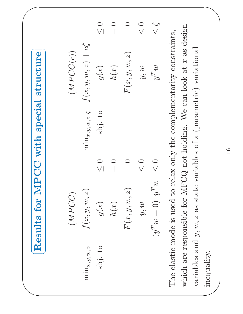Results for MPCC with special structure

 $\sqrt{2}$ 

| Results for MPCC with special structure |             |         |        |
|-----------------------------------------|-------------|---------|--------|
| $(MPCC)$                                | $(MPCC(c))$ |         |        |
| $(MPCC)$                                | $(MPCC(c))$ |         |        |
| $g(x)$                                  | $g(x)$      | $g(x)$  | $g(x)$ |
| $h(x)$                                  | $g(x)$      | $g(x)$  | $g(x)$ |
| $h(x)$                                  | $h(x)$      | $g(x)$  | $g(x)$ |
| $F(x, y, w, z)$                         | $= 0$       |         |        |
| $h(x)$                                  | $g(w)$      | $g(w)$  | $g(w)$ |
| $g^T w$                                 | $g^T w$     | $g^T w$ |        |
| $(y^T w = 0)$ $y^T w$                   | $g(w)$      |         |        |
| $(y^T w = 0)$ $y^T w$                   | $g(w)$      |         |        |

 $\begin{picture}(180,170) \put(0,0){\line(1,0){155}} \put(150,170){\line(1,0){155}} \put(150,170){\line(1,0){155}} \put(150,170){\line(1,0){155}} \put(150,170){\line(1,0){155}} \put(150,170){\line(1,0){155}} \put(150,170){\line(1,0){155}} \put(150,170){\line(1,0){155}} \put(150,170){\line(1,0){155}} \put(150,170){\line$  $\left( \frac{1}{2} \right)$  $\bigwedge$  $y, w \leq 0$ <br>= 0)  $y^T w \leq 0$ <br>used to relax or<br>le for MFCQ no  $(y^T w =$ <br>ode is u<br>onsible<br> $y, w, z$  is  $y^T w \leq 0$ <br>used to relax or<br>le for MFCQ no<br>as state variable  $y, w \leq 0$ <br>  $y^T w \leq \zeta$ <br>
ty constraints,<br>
k at x as design<br>
ariational The elastic mode is used to relax only the complementarity constraints, which are responsible for MFCQ not holding. We can look at  $x$  as designariables and  $y, w, z$  as state variables of a (parametric) variational inequal variables and  $y, w, z$  as state variables of a (parametric) variational variables and  $y, w, z$  as state variables of a (parametric) variational inequality.<br>  $\begin{array}{cccc} 16 & & & \end{array}$ inequality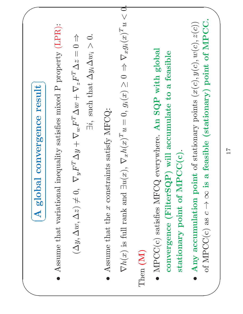| result<br>convergence<br>global<br>$\blacktriangleleft$                                                                                                                                             |
|-----------------------------------------------------------------------------------------------------------------------------------------------------------------------------------------------------|
| inequality satisfies mixed P property (LPR):<br>Assume that variational<br>$\bullet$                                                                                                                |
| $\exists i$ , such that $\Delta y_i \Delta w_i > 0$ .<br>$\nabla_y F^T \Delta y + \nabla_w F^T \Delta w + \nabla_z F^T \Delta z = 0 \Rightarrow$<br>$(\Delta y, \Delta w, \Delta z) \neq 0,$        |
| Assume that the $\boldsymbol{x}$ constraints satisfy MFCQ:<br>$\bullet$                                                                                                                             |
| $\exists u(x), \nabla_x h(x)^T u = 0, g_i(x) \geq 0 \Rightarrow \nabla_x g_i(x)^T u < 0.$<br>$\nabla h(x)$ is full rank and                                                                         |
| Then (M)                                                                                                                                                                                            |
| $\text{MPCCC}{}(c)$ satisfies $\text{MFCQ}{}$ everywhere. An $\text{SQP}{}$ with global<br>accumulate to a feasible<br>stationary point of MPCC(c).<br>(FilterSQP) will<br>convergence<br>$\bullet$ |
| of MPCC(c) as $c \rightarrow \infty$ is a feasible (stationary) point of MPCC<br>accumulation point of stationary points $(x(c), y(c), w(c), z(c))$<br>Any<br>$\bullet$                             |
| 17                                                                                                                                                                                                  |
|                                                                                                                                                                                                     |
|                                                                                                                                                                                                     |
|                                                                                                                                                                                                     |
|                                                                                                                                                                                                     |
|                                                                                                                                                                                                     |
|                                                                                                                                                                                                     |
|                                                                                                                                                                                                     |
|                                                                                                                                                                                                     |
|                                                                                                                                                                                                     |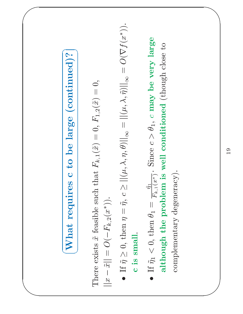## $\begin{picture}(180,10) \put(0,0){\line(1,0){10}} \put(15,0){\line(1,0){10}} \put(15,0){\line(1,0){10}} \put(15,0){\line(1,0){10}} \put(15,0){\line(1,0){10}} \put(15,0){\line(1,0){10}} \put(15,0){\line(1,0){10}} \put(15,0){\line(1,0){10}} \put(15,0){\line(1,0){10}} \put(15,0){\line(1,0){10}} \put(15,0){\line(1,0){10}} \put(15,0){\line($  $\sim$  0  $\sim$  11  $\bigcup$  10  $\bigcup$  11  $\bigcup$  11  $\bigcup$  11  $\bigcup$  11  $\bigcup$  11  $\bigcup$  11  $\bigcup$  11  $\bigcup$  11  $\bigcup$  11  $\bigcup$  11  $\bigcup$  11  $\bigcup$  11  $\bigcup$  11  $\bigcup$  11  $\bigcup$  11  $\bigcup$  11  $\bigcup$  11  $\bigcup$  11  $\bigcup$  11  $\bigcup$  11  $\bigcup$  11  $\bigcup$  11  $\bigcup$  11  $\bigcup$  $\sqrt{2}$  **What requires c to be large (continued)?**<br>ts  $\tilde{x}$  feasible such that  $F_{k,1}(\tilde{x}) = 0$ ,  $F_{1,2}(\tilde{x}) = 0$ ,<br> $O(-F_{k,2}(x^*))$ . There exists  $\tilde{x}$ <br>  $||x - \tilde{x}|| = O($ <br>
• If  $\tilde{\eta} \geq 0$ , t<br>
c is smal  $\mathcal{S}% _{T}=\mathcal{S}_{T}\!\left( a,b\right) ,\ \mathcal{S}_{T}=\mathcal{S}_{T}\!\left( a,b\right) ,$  $\begin{aligned} &\tilde{x}\,\,\text{feasible such that}\,\,F_{k}, \ &\, (-F_{k,2}(x^*)). \ &\text{then}\,\,\eta=\tilde{\eta},\,c\geq ||(\mu,\lambda, \ &\text{all}. \end{aligned}$  $\sum_{1}^{\infty}$  $\frac{1}{x}$  =  $\frac{1}{x}$  $= 0, F_1,$ <br> $= 1, 2, ...$  $\widetilde{x})$  $\begin{matrix}x & y \end{matrix}$  $=\begin{matrix} 0 & \frac{1}{\sqrt{2}} \ \frac{1}{\sqrt{2}} & \frac{1}{\sqrt{2}} \end{matrix}$   $\frac{1}{\widetilde{\pi}}\sum_{i=1}^{\widetilde{\pi}}$  $=$  0, th<br>  $\geq 0, \frac{1}{2}$ <br>
small.  $F_{k,}$  $\begin{aligned} &\left( x^{\ast }\right) \right) .\ &\eta =\widetilde{\eta }, \end{aligned}$  $\bullet$  $\bullet$  If  $\widetilde{\eta}$ <br>c is<br>e If  $\widetilde{\eta}$  $\mathcal{L}% _{0}=\mathcal{L}_{\mathcal{A}}\left( \mathcal{L}_{0}\right) ^{\ast }=\mathcal{L}_{\mathcal{A}}\left( \mathcal{L}_{0}\right) ^{\ast }=\mathcal{L}_{\mathcal{A}}\left( \mathcal{L}_{0}\right) ^{\ast }=\mathcal{L}_{\mathcal{A}}\left( \mathcal{L}_{0}\right) ^{\ast }=\mathcal{L}_{\mathcal{A}}\left( \mathcal{L}_{0}\right) ^{\ast }=\mathcal{L}_{\mathcal{A}}\left( \mathcal{L}_{0}\right) ^{\ast }=\mathcal{L}_{\mathcal{A}}\left( \mathcal{L}_{0}\right) ^{\ast }=\mathcal{L}_{\$  $\begin{align} \tilde{\eta} &\geq 0, \text{ then } \eta \ \tilde{\eta}_1 &< 0, \text{ then } \end{align}$ though the  $\frac{1}{\theta}$  $\begin{array}{c}\n\overline{r} \\
\overline{r} \\
\overline{r} \\
\overline{r} \\
\overline{r} \\
\overline{r} \\
\overline{r} \\
\overline{r} \\
\overline{r} \\
\overline{r} \\
\overline{r} \\
\overline{r} \\
\overline{r} \\
\overline{r} \\
\overline{r} \\
\overline{r} \\
\overline{r} \\
\overline{r} \\
\overline{r} \\
\overline{r} \\
\overline{r} \\
\overline{r} \\
\overline{r} \\
\overline{r} \\
\overline{r} \\
\overline{r} \\
\overline{r} \\
\overline{r} \\
\overline{r} \\
\overline{r} \\
\over$  $\mathcal{L},$ ,  $c \ge ||(\mu, \lambda, \eta$ <br> $\frac{\tilde{\eta}_1}{F_{k,1}(x^*)}$ . Sind<br>blem is well<br>eneracy).  $\frac{\partial}{\partial \theta}$  $\frac{1}{8}$   $\frac{1}{2}$   $\frac{1}{2}$   $\frac{1}{2}$   $\frac{1}{2}$  $\begin{aligned} &= \| (\mu, \lambda, \tilde{\eta} )\|_1, \ \text{c may} \end{aligned}$ <br>tioned (th  $\mathcal{L}% _{0}=\mathcal{L}_{\mathcal{A}}\left( \mathcal{L}_{0}\right) ^{\ast }=\mathcal{L}_{\mathcal{A}}\left( \mathcal{L}_{0}\right) ^{\ast }=\mathcal{L}_{\mathcal{A}}\left( \mathcal{L}_{0}\right) ^{\ast }=\mathcal{L}_{\mathcal{A}}\left( \mathcal{L}_{0}\right) ^{\ast }=\mathcal{L}_{\mathcal{A}}\left( \mathcal{L}_{0}\right) ^{\ast }=\mathcal{L}_{\mathcal{A}}\left( \mathcal{L}_{0}\right) ^{\ast }=\mathcal{L}_{\mathcal{A}}\left( \mathcal{L}_{0}\right) ^{\ast }=\mathcal{L}_{\$  $\frac{8}{10}$  $\frac{1}{8}$ <br>bez  $= O(\nabla f(x^*)).$ <br>
ery large<br>
close to c is small.  $\begin{aligned} \textbf{c is small.} \ \text{if } \tilde{\eta}_1 < 0, \text{ t} \ \textbf{alt} & \text{hough} \end{aligned}$  $\bullet$  If  $\tilde{\eta}_1 <$ althou  $< 0$ , then  $\theta_1 =$ <br> **bugh the property**<br>
dementary dega  $=\frac{\tilde{n}_1}{F_{k,1}(x^*)}$ . Since  $c > \theta_1$ , c may be very large oblem is well conditioned (though close to generacy). although the problem is well conditioned (though close to complementary degeneracy

 $\sqrt{2}$ 

 $\overline{\phantom{a}}$